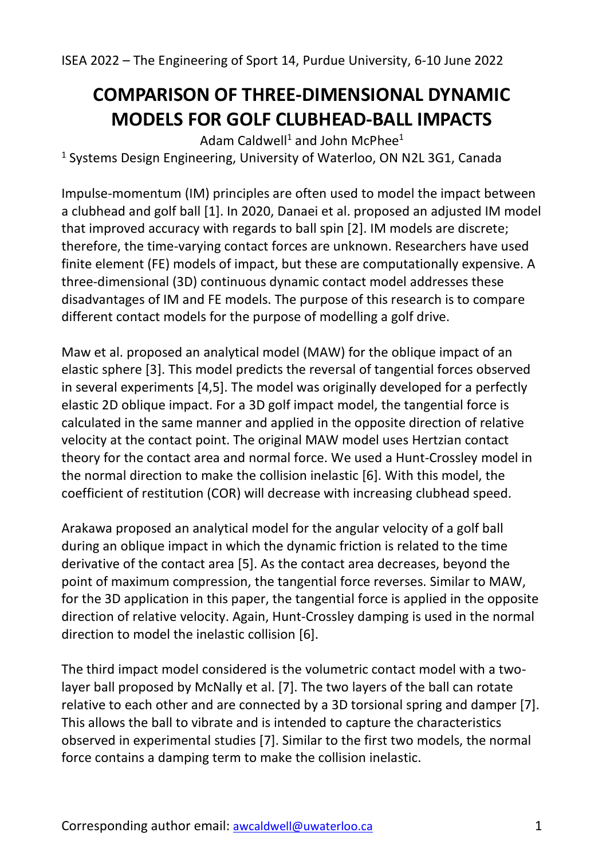## **COMPARISON OF THREE-DIMENSIONAL DYNAMIC MODELS FOR GOLF CLUBHEAD-BALL IMPACTS**

Adam Caldwell<sup>1</sup> and John McPhee<sup>1</sup> <sup>1</sup> Systems Design Engineering, University of Waterloo, ON N2L 3G1, Canada

Impulse-momentum (IM) principles are often used to model the impact between a clubhead and golf ball [1]. In 2020, Danaei et al. proposed an adjusted IM model that improved accuracy with regards to ball spin [2]. IM models are discrete; therefore, the time-varying contact forces are unknown. Researchers have used finite element (FE) models of impact, but these are computationally expensive. A three-dimensional (3D) continuous dynamic contact model addresses these disadvantages of IM and FE models. The purpose of this research is to compare different contact models for the purpose of modelling a golf drive.

Maw et al. proposed an analytical model (MAW) for the oblique impact of an elastic sphere [3]. This model predicts the reversal of tangential forces observed in several experiments [4,5]. The model was originally developed for a perfectly elastic 2D oblique impact. For a 3D golf impact model, the tangential force is calculated in the same manner and applied in the opposite direction of relative velocity at the contact point. The original MAW model uses Hertzian contact theory for the contact area and normal force. We used a Hunt-Crossley model in the normal direction to make the collision inelastic [6]. With this model, the coefficient of restitution (COR) will decrease with increasing clubhead speed.

Arakawa proposed an analytical model for the angular velocity of a golf ball during an oblique impact in which the dynamic friction is related to the time derivative of the contact area [5]. As the contact area decreases, beyond the point of maximum compression, the tangential force reverses. Similar to MAW, for the 3D application in this paper, the tangential force is applied in the opposite direction of relative velocity. Again, Hunt-Crossley damping is used in the normal direction to model the inelastic collision [6].

The third impact model considered is the volumetric contact model with a twolayer ball proposed by McNally et al. [7]. The two layers of the ball can rotate relative to each other and are connected by a 3D torsional spring and damper [7]. This allows the ball to vibrate and is intended to capture the characteristics observed in experimental studies [7]. Similar to the first two models, the normal force contains a damping term to make the collision inelastic.